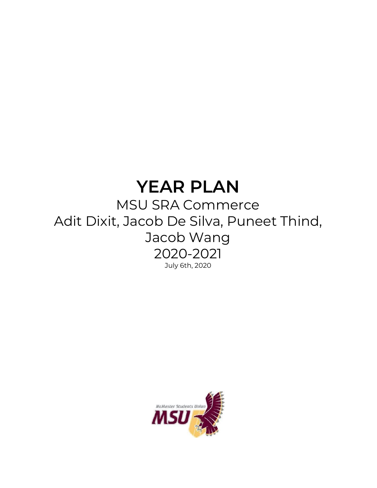# **YEAR PLAN**

## MSU SRA Commerce Adit Dixit, Jacob De Silva, Puneet Thind, Jacob Wang 2020-2021 July 6th, 2020

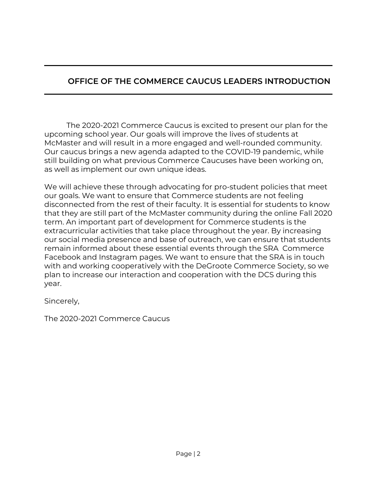#### **OFFICE OF THE COMMERCE CAUCUS LEADERS INTRODUCTION**

The 2020-2021 Commerce Caucus is excited to present our plan for the upcoming school year. Our goals will improve the lives of students at McMaster and will result in a more engaged and well-rounded community. Our caucus brings a new agenda adapted to the COVID-19 pandemic, while still building on what previous Commerce Caucuses have been working on, as well as implement our own unique ideas.

We will achieve these through advocating for pro-student policies that meet our goals. We want to ensure that Commerce students are not feeling disconnected from the rest of their faculty. It is essential for students to know that they are still part of the McMaster community during the online Fall 2020 term. An important part of development for Commerce students is the extracurricular activities that take place throughout the year. By increasing our social media presence and base of outreach, we can ensure that students remain informed about these essential events through the SRA Commerce Facebook and Instagram pages. We want to ensure that the SRA is in touch with and working cooperatively with the DeGroote Commerce Society, so we plan to increase our interaction and cooperation with the DCS during this year.

Sincerely,

The 2020-2021 Commerce Caucus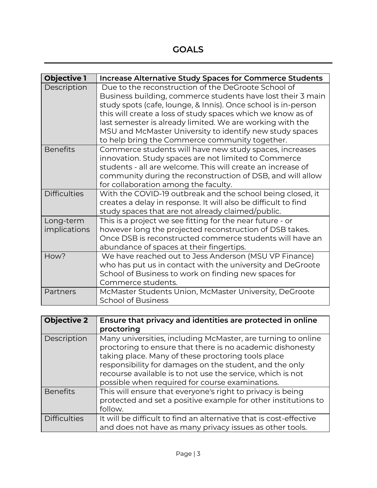**GOALS**

| <b>Objective 1</b>        | Increase Alternative Study Spaces for Commerce Students                                                                                                                                                                                                                                                                                                                                                                       |
|---------------------------|-------------------------------------------------------------------------------------------------------------------------------------------------------------------------------------------------------------------------------------------------------------------------------------------------------------------------------------------------------------------------------------------------------------------------------|
| Description               | Due to the reconstruction of the DeGroote School of<br>Business building, commerce students have lost their 3 main<br>study spots (cafe, lounge, & Innis). Once school is in-person<br>this will create a loss of study spaces which we know as of<br>last semester is already limited. We are working with the<br>MSU and McMaster University to identify new study spaces<br>to help bring the Commerce community together. |
| <b>Benefits</b>           | Commerce students will have new study spaces, increases<br>innovation. Study spaces are not limited to Commerce<br>students - all are welcome. This will create an increase of<br>community during the reconstruction of DSB, and will allow<br>for collaboration among the faculty.                                                                                                                                          |
| <b>Difficulties</b>       | With the COVID-19 outbreak and the school being closed, it<br>creates a delay in response. It will also be difficult to find<br>study spaces that are not already claimed/public.                                                                                                                                                                                                                                             |
| Long-term<br>implications | This is a project we see fitting for the near future - or<br>however long the projected reconstruction of DSB takes.<br>Once DSB is reconstructed commerce students will have an<br>abundance of spaces at their fingertips.                                                                                                                                                                                                  |
| How?                      | We have reached out to Jess Anderson (MSU VP Finance)<br>who has put us in contact with the university and DeGroote<br>School of Business to work on finding new spaces for<br>Commerce students.                                                                                                                                                                                                                             |
| Partners                  | McMaster Students Union, McMaster University, DeGroote<br><b>School of Business</b>                                                                                                                                                                                                                                                                                                                                           |

| <b>Objective 2</b>  | Ensure that privacy and identities are protected in online<br>proctoring                                                                                                                                                                                                                                                                                    |
|---------------------|-------------------------------------------------------------------------------------------------------------------------------------------------------------------------------------------------------------------------------------------------------------------------------------------------------------------------------------------------------------|
| Description         | Many universities, including McMaster, are turning to online<br>proctoring to ensure that there is no academic dishonesty<br>taking place. Many of these proctoring tools place<br>responsibility for damages on the student, and the only<br>recourse available is to not use the service, which is not<br>possible when required for course examinations. |
| <b>Benefits</b>     | This will ensure that everyone's right to privacy is being<br>protected and set a positive example for other institutions to<br>follow.                                                                                                                                                                                                                     |
| <b>Difficulties</b> | It will be difficult to find an alternative that is cost-effective<br>and does not have as many privacy issues as other tools.                                                                                                                                                                                                                              |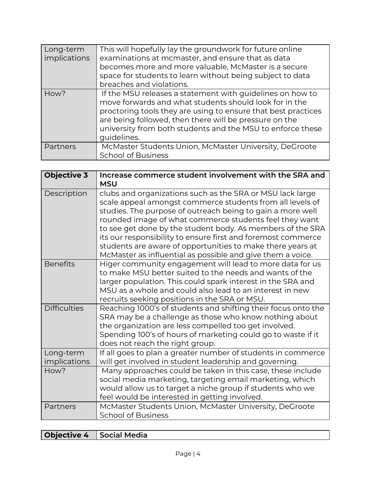| Long-term<br>implications | This will hopefully lay the groundwork for future online<br>examinations at mcmaster, and ensure that as data<br>becomes more and more valuable, McMaster is a secure<br>space for students to learn without being subject to data<br>breaches and violations.                                                              |
|---------------------------|-----------------------------------------------------------------------------------------------------------------------------------------------------------------------------------------------------------------------------------------------------------------------------------------------------------------------------|
| How?                      | If the MSU releases a statement with guidelines on how to<br>move forwards and what students should look for in the<br>proctoring tools they are using to ensure that best practices<br>are being followed, then there will be pressure on the<br>university from both students and the MSU to enforce these<br>guidelines. |
| Partners                  | McMaster Students Union, McMaster University, DeGroote<br><b>School of Business</b>                                                                                                                                                                                                                                         |

| <b>Objective 3</b>        | Increase commerce student involvement with the SRA and<br><b>MSU</b>                                                                                                                                                                                                                                                                                                                                                                                                                                     |
|---------------------------|----------------------------------------------------------------------------------------------------------------------------------------------------------------------------------------------------------------------------------------------------------------------------------------------------------------------------------------------------------------------------------------------------------------------------------------------------------------------------------------------------------|
| Description               | clubs and organizations such as the SRA or MSU lack large<br>scale appeal amongst commerce students from all levels of<br>studies. The purpose of outreach being to gain a more well<br>rounded image of what commerce students feel they want<br>to see get done by the student body. As members of the SRA<br>its our responsibility to ensure first and foremost commerce<br>students are aware of opportunities to make there years at<br>McMaster as influential as possible and give them a voice. |
| <b>Benefits</b>           | Higer community engagement will lead to more data for us<br>to make MSU better suited to the needs and wants of the<br>larger population. This could spark interest in the SRA and<br>MSU as a whole and could also lead to an interest in new<br>recruits seeking positions in the SRA or MSU.                                                                                                                                                                                                          |
| <b>Difficulties</b>       | Reaching 1000's of students and shifting their focus onto the<br>SRA may be a challenge as those who know nothing about<br>the organization are less compelled too get involved.<br>Spending 100's of hours of marketing could go to waste if it<br>does not reach the right group.                                                                                                                                                                                                                      |
| Long-term<br>implications | If all goes to plan a greater number of students in commerce<br>will get involved in student leadership and governing.                                                                                                                                                                                                                                                                                                                                                                                   |
| How?                      | Many approaches could be taken in this case, these include<br>social media marketing, targeting email marketing, which<br>would allow us to target a niche group if students who we<br>feel would be interested in getting involved.                                                                                                                                                                                                                                                                     |
| Partners                  | McMaster Students Union, McMaster University, DeGroote<br><b>School of Business</b>                                                                                                                                                                                                                                                                                                                                                                                                                      |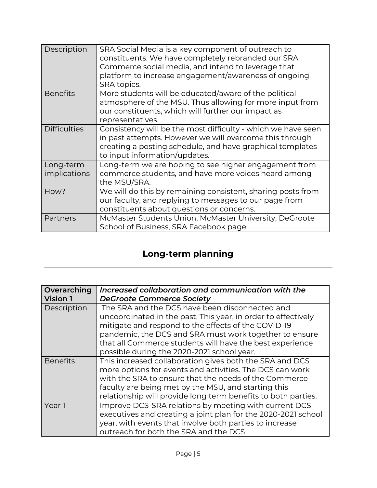| Description               | SRA Social Media is a key component of outreach to<br>constituents. We have completely rebranded our SRA<br>Commerce social media, and intend to leverage that<br>platform to increase engagement/awareness of ongoing<br>SRA topics. |
|---------------------------|---------------------------------------------------------------------------------------------------------------------------------------------------------------------------------------------------------------------------------------|
| <b>Benefits</b>           | More students will be educated/aware of the political<br>atmosphere of the MSU. Thus allowing for more input from<br>our constituents, which will further our impact as<br>representatives.                                           |
| <b>Difficulties</b>       | Consistency will be the most difficulty - which we have seen<br>in past attempts. However we will overcome this through<br>creating a posting schedule, and have graphical templates<br>to input information/updates.                 |
| Long-term<br>implications | Long-term we are hoping to see higher engagement from<br>commerce students, and have more voices heard among<br>the MSU/SRA.                                                                                                          |
| How?                      | We will do this by remaining consistent, sharing posts from<br>our faculty, and replying to messages to our page from<br>constituents about questions or concerns.                                                                    |
| Partners                  | McMaster Students Union, McMaster University, DeGroote<br>School of Business, SRA Facebook page                                                                                                                                       |

### **Long-term planning**

| Overarching     | Increased collaboration and communication with the            |
|-----------------|---------------------------------------------------------------|
| <b>Vision 1</b> | <b>DeGroote Commerce Society</b>                              |
| Description     | The SRA and the DCS have been disconnected and                |
|                 | uncoordinated in the past. This year, in order to effectively |
|                 | mitigate and respond to the effects of the COVID-19           |
|                 | pandemic, the DCS and SRA must work together to ensure        |
|                 | that all Commerce students will have the best experience      |
|                 | possible during the 2020-2021 school year.                    |
| <b>Benefits</b> | This increased collaboration gives both the SRA and DCS       |
|                 | more options for events and activities. The DCS can work      |
|                 | with the SRA to ensure that the needs of the Commerce         |
|                 | faculty are being met by the MSU, and starting this           |
|                 | relationship will provide long term benefits to both parties. |
| Year 1          | Improve DCS-SRA relations by meeting with current DCS         |
|                 | executives and creating a joint plan for the 2020-2021 school |
|                 | year, with events that involve both parties to increase       |
|                 | outreach for both the SRA and the DCS                         |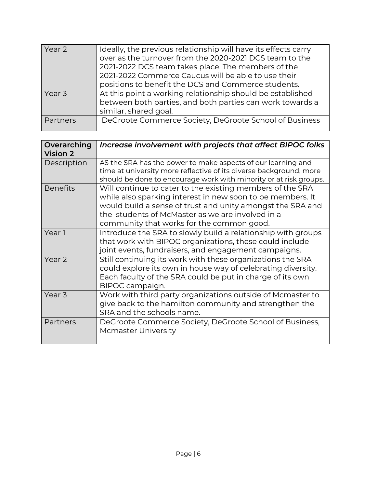| Year 2   | Ideally, the previous relationship will have its effects carry |
|----------|----------------------------------------------------------------|
|          |                                                                |
|          | over as the turnover from the 2020-2021 DCS team to the        |
|          | 2021-2022 DCS team takes place. The members of the             |
|          | 2021-2022 Commerce Caucus will be able to use their            |
|          | positions to benefit the DCS and Commerce students.            |
| Year 3   | At this point a working relationship should be established     |
|          | between both parties, and both parties can work towards a      |
|          | similar, shared goal.                                          |
| Partners | DeGroote Commerce Society, DeGroote School of Business         |
|          |                                                                |

| Overarching<br><b>Vision 2</b> | Increase involvement with projects that affect BIPOC folks                                                                                                                                                                                                                             |
|--------------------------------|----------------------------------------------------------------------------------------------------------------------------------------------------------------------------------------------------------------------------------------------------------------------------------------|
| Description                    | AS the SRA has the power to make aspects of our learning and<br>time at university more reflective of its diverse background, more<br>should be done to encourage work with minority or at risk groups.                                                                                |
| <b>Benefits</b>                | Will continue to cater to the existing members of the SRA<br>while also sparking interest in new soon to be members. It<br>would build a sense of trust and unity amongst the SRA and<br>the students of McMaster as we are involved in a<br>community that works for the common good. |
| Year 1                         | Introduce the SRA to slowly build a relationship with groups<br>that work with BIPOC organizations, these could include<br>joint events, fundraisers, and engagement campaigns.                                                                                                        |
| Year 2                         | Still continuing its work with these organizations the SRA<br>could explore its own in house way of celebrating diversity.<br>Each faculty of the SRA could be put in charge of its own<br>BIPOC campaign.                                                                             |
| Year <sub>3</sub>              | Work with third party organizations outside of Mcmaster to<br>give back to the hamilton community and strengthen the<br>SRA and the schools name.                                                                                                                                      |
| Partners                       | DeGroote Commerce Society, DeGroote School of Business,<br>Mcmaster University                                                                                                                                                                                                         |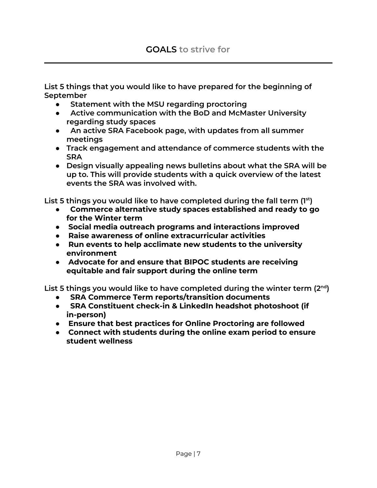**List 5 things that you would like to have prepared for the beginning of September**

- **Statement with the MSU regarding proctoring**
- **Active communication with the BoD and McMaster University regarding study spaces**
- **An active SRA Facebook page, with updates from all summer meetings**
- **Track engagement and attendance of commerce students with the SRA**
- **Design visually appealing news bulletins about what the SRA will be up to. This will provide students with a quick overview of the latest events the SRA was involved with.**

**List 5 things you would like to have completed during the fall term (1 st )**

- **Commerce alternative study spaces established and ready to go for the Winter term**
- **Social media outreach programs and interactions improved**
- **Raise awareness of online extracurricular activities**
- **Run events to help acclimate new students to the university environment**
- **Advocate for and ensure that BIPOC students are receiving equitable and fair support during the online term**

**List 5 things you would like to have completed during the winter term (2 nd )**

- **SRA Commerce Term reports/transition documents**
- **SRA Constituent check-in & LinkedIn headshot photoshoot (if in-person)**
- **Ensure that best practices for Online Proctoring are followed**
- **Connect with students during the online exam period to ensure student wellness**